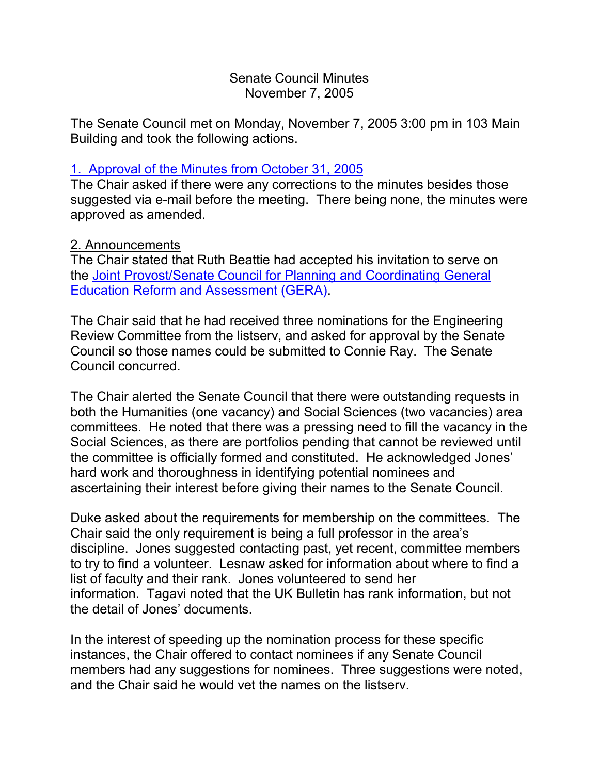### Senate Council Minutes November 7, 2005

The Senate Council met on Monday, November 7, 2005 3:00 pm in 103 Main Building and took the following actions.

# 1. [Approval of the Minutes from October 31, 2005](http://www.uky.edu/USC/New/SCMinutes/SC%20Minutes%20October%2031%202005%20FINAL.htm)

The Chair asked if there were any corrections to the minutes besides those suggested via e-mail before the meeting. There being none, the minutes were approved as amended.

### 2. Announcements

The Chair stated that Ruth Beattie had accepted his invitation to serve on the [Joint Provost/Senate Council for Planning and Coordinating General](http://www.uky.edu/gera/index.htm)  [Education Reform and Assessment \(GERA\).](http://www.uky.edu/gera/index.htm)

The Chair said that he had received three nominations for the Engineering Review Committee from the listserv, and asked for approval by the Senate Council so those names could be submitted to Connie Ray. The Senate Council concurred.

The Chair alerted the Senate Council that there were outstanding requests in both the Humanities (one vacancy) and Social Sciences (two vacancies) area committees. He noted that there was a pressing need to fill the vacancy in the Social Sciences, as there are portfolios pending that cannot be reviewed until the committee is officially formed and constituted. He acknowledged Jones' hard work and thoroughness in identifying potential nominees and ascertaining their interest before giving their names to the Senate Council.

Duke asked about the requirements for membership on the committees. The Chair said the only requirement is being a full professor in the area's discipline. Jones suggested contacting past, yet recent, committee members to try to find a volunteer. Lesnaw asked for information about where to find a list of faculty and their rank. Jones volunteered to send her information. Tagavi noted that the UK Bulletin has rank information, but not the detail of Jones' documents.

In the interest of speeding up the nomination process for these specific instances, the Chair offered to contact nominees if any Senate Council members had any suggestions for nominees. Three suggestions were noted, and the Chair said he would vet the names on the listserv.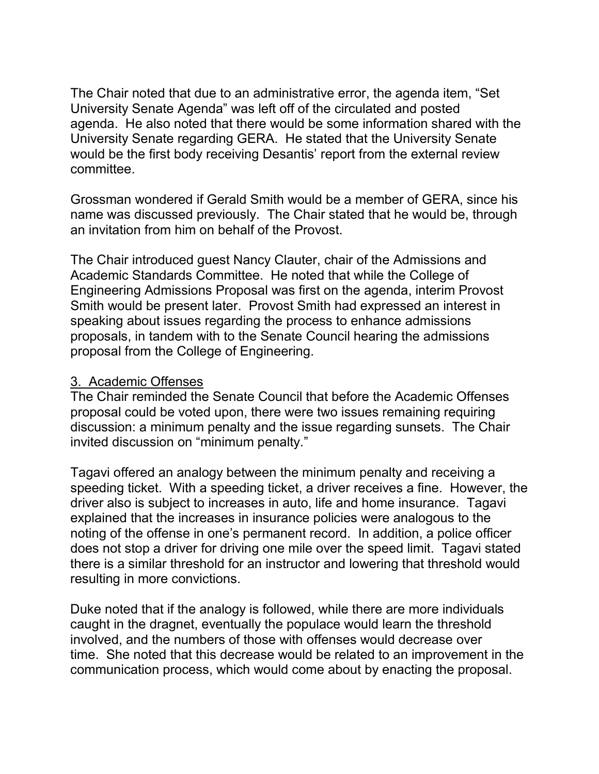The Chair noted that due to an administrative error, the agenda item, "Set University Senate Agenda" was left off of the circulated and posted agenda. He also noted that there would be some information shared with the University Senate regarding GERA. He stated that the University Senate would be the first body receiving Desantis' report from the external review committee.

Grossman wondered if Gerald Smith would be a member of GERA, since his name was discussed previously. The Chair stated that he would be, through an invitation from him on behalf of the Provost.

The Chair introduced guest Nancy Clauter, chair of the Admissions and Academic Standards Committee. He noted that while the College of Engineering Admissions Proposal was first on the agenda, interim Provost Smith would be present later. Provost Smith had expressed an interest in speaking about issues regarding the process to enhance admissions proposals, in tandem with to the Senate Council hearing the admissions proposal from the College of Engineering.

#### 3. Academic Offenses

The Chair reminded the Senate Council that before the Academic Offenses proposal could be voted upon, there were two issues remaining requiring discussion: a minimum penalty and the issue regarding sunsets. The Chair invited discussion on "minimum penalty."

Tagavi offered an analogy between the minimum penalty and receiving a speeding ticket. With a speeding ticket, a driver receives a fine. However, the driver also is subject to increases in auto, life and home insurance. Tagavi explained that the increases in insurance policies were analogous to the noting of the offense in one's permanent record. In addition, a police officer does not stop a driver for driving one mile over the speed limit. Tagavi stated there is a similar threshold for an instructor and lowering that threshold would resulting in more convictions.

Duke noted that if the analogy is followed, while there are more individuals caught in the dragnet, eventually the populace would learn the threshold involved, and the numbers of those with offenses would decrease over time. She noted that this decrease would be related to an improvement in the communication process, which would come about by enacting the proposal.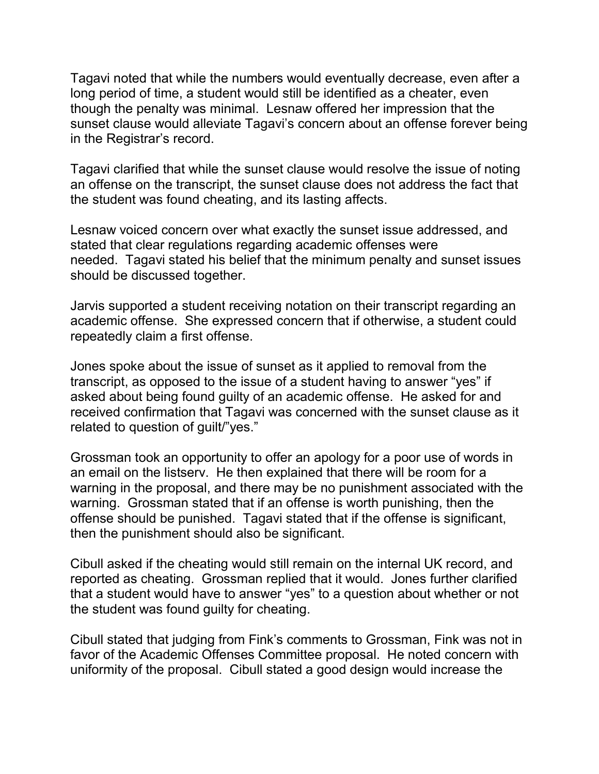Tagavi noted that while the numbers would eventually decrease, even after a long period of time, a student would still be identified as a cheater, even though the penalty was minimal. Lesnaw offered her impression that the sunset clause would alleviate Tagavi's concern about an offense forever being in the Registrar's record.

Tagavi clarified that while the sunset clause would resolve the issue of noting an offense on the transcript, the sunset clause does not address the fact that the student was found cheating, and its lasting affects.

Lesnaw voiced concern over what exactly the sunset issue addressed, and stated that clear regulations regarding academic offenses were needed. Tagavi stated his belief that the minimum penalty and sunset issues should be discussed together.

Jarvis supported a student receiving notation on their transcript regarding an academic offense. She expressed concern that if otherwise, a student could repeatedly claim a first offense.

Jones spoke about the issue of sunset as it applied to removal from the transcript, as opposed to the issue of a student having to answer "yes" if asked about being found guilty of an academic offense. He asked for and received confirmation that Tagavi was concerned with the sunset clause as it related to question of guilt/"yes."

Grossman took an opportunity to offer an apology for a poor use of words in an email on the listserv. He then explained that there will be room for a warning in the proposal, and there may be no punishment associated with the warning. Grossman stated that if an offense is worth punishing, then the offense should be punished. Tagavi stated that if the offense is significant, then the punishment should also be significant.

Cibull asked if the cheating would still remain on the internal UK record, and reported as cheating. Grossman replied that it would. Jones further clarified that a student would have to answer "yes" to a question about whether or not the student was found guilty for cheating.

Cibull stated that judging from Fink's comments to Grossman, Fink was not in favor of the Academic Offenses Committee proposal. He noted concern with uniformity of the proposal. Cibull stated a good design would increase the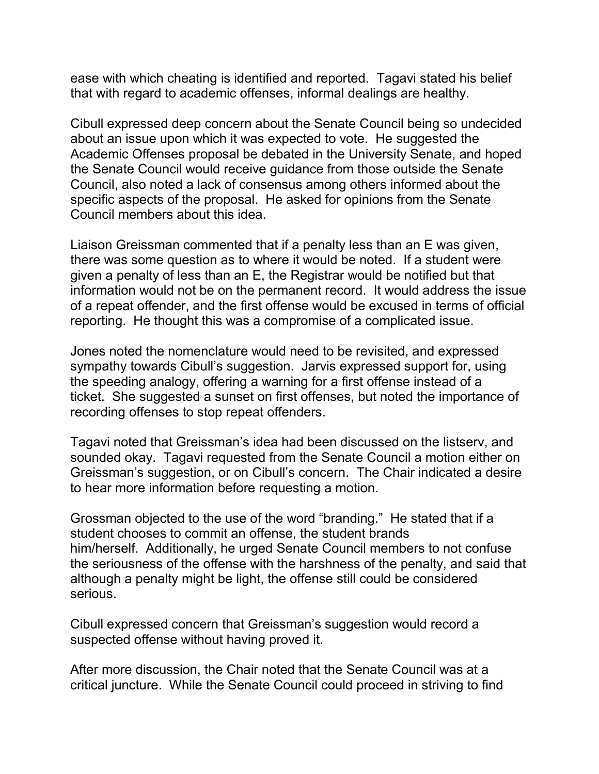ease with which cheating is identified and reported. Tagavi stated his belief that with regard to academic offenses, informal dealings are healthy.

Cibull expressed deep concern about the Senate Council being so undecided about an issue upon which it was expected to vote. He suggested the Academic Offenses proposal be debated in the University Senate, and hoped the Senate Council would receive guidance from those outside the Senate Council, also noted a lack of consensus among others informed about the specific aspects of the proposal. He asked for opinions from the Senate Council members about this idea.

Liaison Greissman commented that if a penalty less than an E was given, there was some question as to where it would be noted. If a student were given a penalty of less than an E, the Registrar would be notified but that information would not be on the permanent record. It would address the issue of a repeat offender, and the first offense would be excused in terms of official reporting. He thought this was a compromise of a complicated issue.

Jones noted the nomenclature would need to be revisited, and expressed sympathy towards Cibull's suggestion. Jarvis expressed support for, using the speeding analogy, offering a warning for a first offense instead of a ticket. She suggested a sunset on first offenses, but noted the importance of recording offenses to stop repeat offenders.

Tagavi noted that Greissman's idea had been discussed on the listserv, and sounded okay. Tagavi requested from the Senate Council a motion either on Greissman's suggestion, or on Cibull's concern. The Chair indicated a desire to hear more information before requesting a motion.

Grossman objected to the use of the word "branding." He stated that if a student chooses to commit an offense, the student brands him/herself. Additionally, he urged Senate Council members to not confuse the seriousness of the offense with the harshness of the penalty, and said that although a penalty might be light, the offense still could be considered serious.

Cibull expressed concern that Greissman's suggestion would record a suspected offense without having proved it.

After more discussion, the Chair noted that the Senate Council was at a critical juncture. While the Senate Council could proceed in striving to find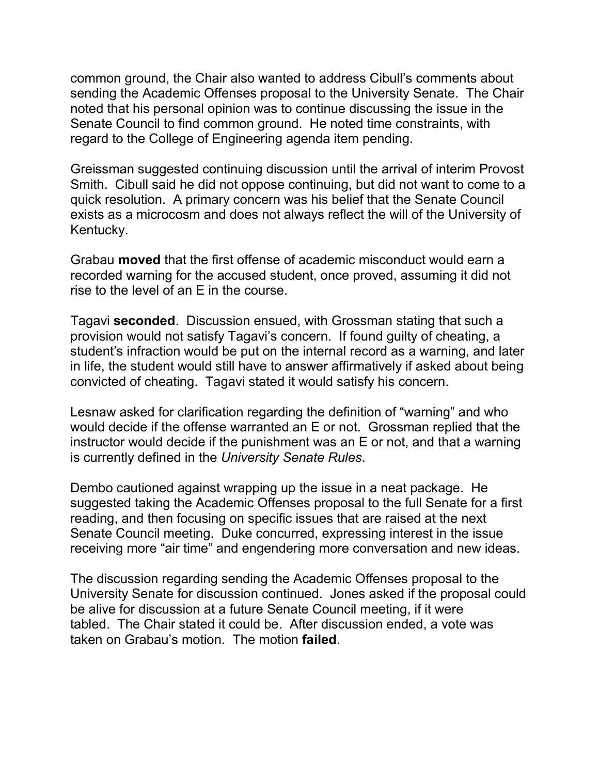common ground, the Chair also wanted to address Cibull's comments about sending the Academic Offenses proposal to the University Senate. The Chair noted that his personal opinion was to continue discussing the issue in the Senate Council to find common ground. He noted time constraints, with regard to the College of Engineering agenda item pending.

Greissman suggested continuing discussion until the arrival of interim Provost Smith. Cibull said he did not oppose continuing, but did not want to come to a quick resolution. A primary concern was his belief that the Senate Council exists as a microcosm and does not always reflect the will of the University of Kentucky.

Grabau **moved** that the first offense of academic misconduct would earn a recorded warning for the accused student, once proved, assuming it did not rise to the level of an E in the course.

Tagavi **seconded**. Discussion ensued, with Grossman stating that such a provision would not satisfy Tagavi's concern. If found guilty of cheating, a student's infraction would be put on the internal record as a warning, and later in life, the student would still have to answer affirmatively if asked about being convicted of cheating. Tagavi stated it would satisfy his concern.

Lesnaw asked for clarification regarding the definition of "warning" and who would decide if the offense warranted an E or not. Grossman replied that the instructor would decide if the punishment was an E or not, and that a warning is currently defined in the *University Senate Rules*.

Dembo cautioned against wrapping up the issue in a neat package. He suggested taking the Academic Offenses proposal to the full Senate for a first reading, and then focusing on specific issues that are raised at the next Senate Council meeting. Duke concurred, expressing interest in the issue receiving more "air time" and engendering more conversation and new ideas.

The discussion regarding sending the Academic Offenses proposal to the University Senate for discussion continued. Jones asked if the proposal could be alive for discussion at a future Senate Council meeting, if it were tabled. The Chair stated it could be. After discussion ended, a vote was taken on Grabau's motion. The motion **failed**.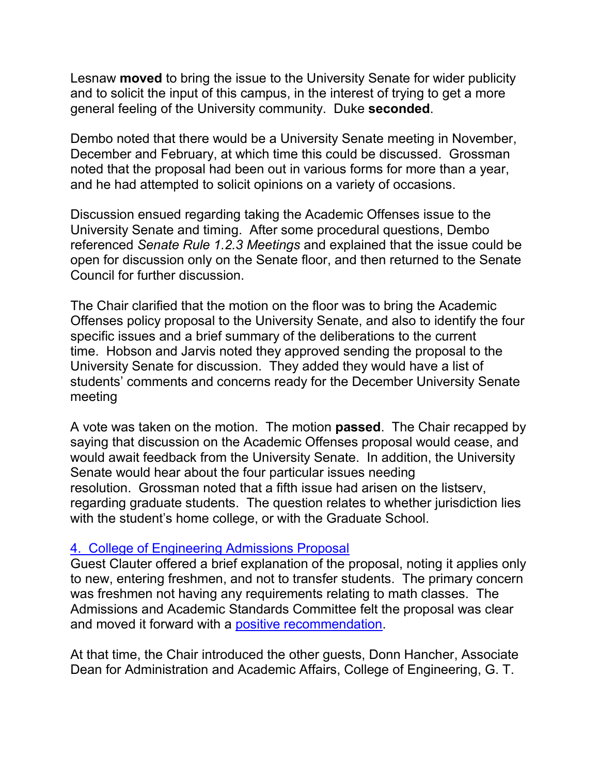Lesnaw **moved** to bring the issue to the University Senate for wider publicity and to solicit the input of this campus, in the interest of trying to get a more general feeling of the University community. Duke **seconded**.

Dembo noted that there would be a University Senate meeting in November, December and February, at which time this could be discussed. Grossman noted that the proposal had been out in various forms for more than a year, and he had attempted to solicit opinions on a variety of occasions.

Discussion ensued regarding taking the Academic Offenses issue to the University Senate and timing. After some procedural questions, Dembo referenced *Senate Rule 1.2.3 Meetings* and explained that the issue could be open for discussion only on the Senate floor, and then returned to the Senate Council for further discussion.

The Chair clarified that the motion on the floor was to bring the Academic Offenses policy proposal to the University Senate, and also to identify the four specific issues and a brief summary of the deliberations to the current time. Hobson and Jarvis noted they approved sending the proposal to the University Senate for discussion. They added they would have a list of students' comments and concerns ready for the December University Senate meeting

A vote was taken on the motion. The motion **passed**. The Chair recapped by saying that discussion on the Academic Offenses proposal would cease, and would await feedback from the University Senate. In addition, the University Senate would hear about the four particular issues needing resolution. Grossman noted that a fifth issue had arisen on the listserv, regarding graduate students. The question relates to whether jurisdiction lies with the student's home college, or with the Graduate School.

### 4. [College of Engineering Admissions Proposal](http://www.uky.edu/USC/New/Comms/AdmissionsAndAcadStandards/RevisedCOEAdmissionPolicy-2R.doc)

Guest Clauter offered a brief explanation of the proposal, noting it applies only to new, entering freshmen, and not to transfer students. The primary concern was freshmen not having any requirements relating to math classes. The Admissions and Academic Standards Committee felt the proposal was clear and moved it forward with a [positive recommendation.](http://www.uky.edu/USC/New/Comms/AdmissionsAndAcadStandards/eng_desc_sum.doc)

At that time, the Chair introduced the other guests, Donn Hancher, Associate Dean for Administration and Academic Affairs, College of Engineering, G. T.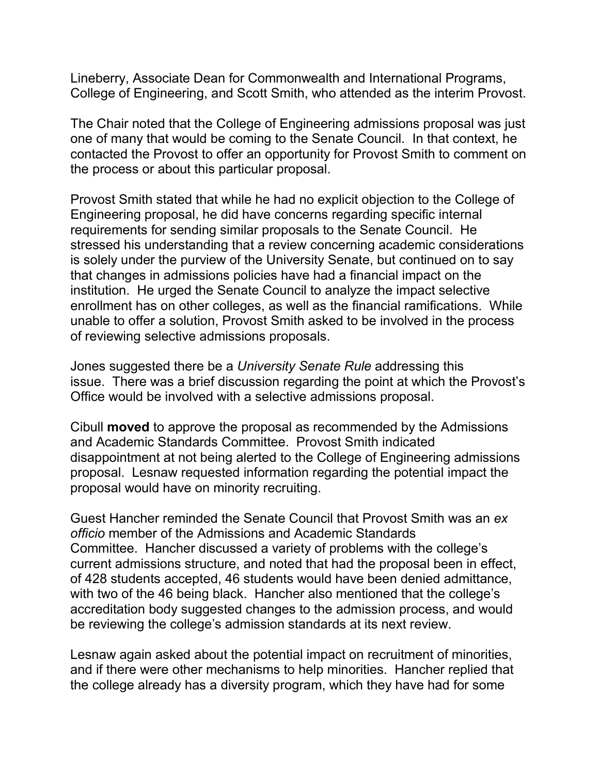Lineberry, Associate Dean for Commonwealth and International Programs, College of Engineering, and Scott Smith, who attended as the interim Provost.

The Chair noted that the College of Engineering admissions proposal was just one of many that would be coming to the Senate Council. In that context, he contacted the Provost to offer an opportunity for Provost Smith to comment on the process or about this particular proposal.

Provost Smith stated that while he had no explicit objection to the College of Engineering proposal, he did have concerns regarding specific internal requirements for sending similar proposals to the Senate Council. He stressed his understanding that a review concerning academic considerations is solely under the purview of the University Senate, but continued on to say that changes in admissions policies have had a financial impact on the institution. He urged the Senate Council to analyze the impact selective enrollment has on other colleges, as well as the financial ramifications. While unable to offer a solution, Provost Smith asked to be involved in the process of reviewing selective admissions proposals.

Jones suggested there be a *University Senate Rule* addressing this issue. There was a brief discussion regarding the point at which the Provost's Office would be involved with a selective admissions proposal.

Cibull **moved** to approve the proposal as recommended by the Admissions and Academic Standards Committee. Provost Smith indicated disappointment at not being alerted to the College of Engineering admissions proposal. Lesnaw requested information regarding the potential impact the proposal would have on minority recruiting.

Guest Hancher reminded the Senate Council that Provost Smith was an *ex officio* member of the Admissions and Academic Standards Committee. Hancher discussed a variety of problems with the college's current admissions structure, and noted that had the proposal been in effect, of 428 students accepted, 46 students would have been denied admittance, with two of the 46 being black. Hancher also mentioned that the college's accreditation body suggested changes to the admission process, and would be reviewing the college's admission standards at its next review.

Lesnaw again asked about the potential impact on recruitment of minorities, and if there were other mechanisms to help minorities. Hancher replied that the college already has a diversity program, which they have had for some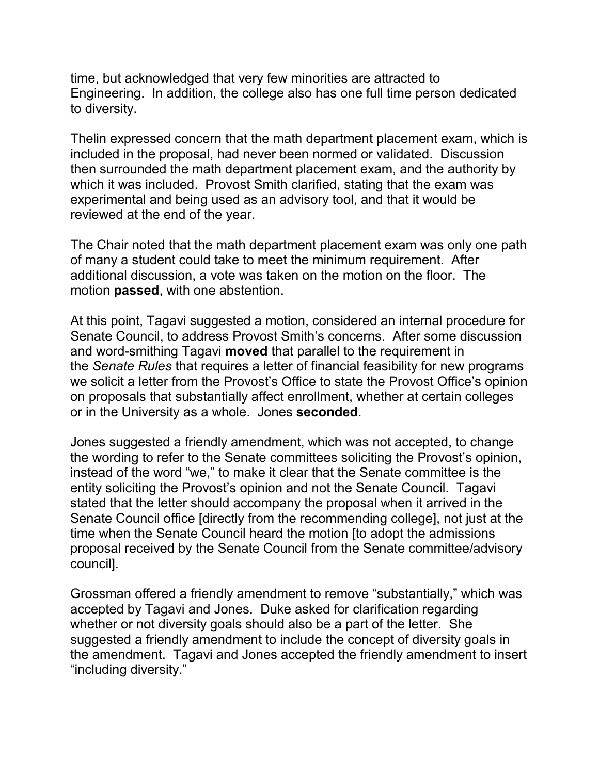time, but acknowledged that very few minorities are attracted to Engineering. In addition, the college also has one full time person dedicated to diversity.

Thelin expressed concern that the math department placement exam, which is included in the proposal, had never been normed or validated. Discussion then surrounded the math department placement exam, and the authority by which it was included. Provost Smith clarified, stating that the exam was experimental and being used as an advisory tool, and that it would be reviewed at the end of the year.

The Chair noted that the math department placement exam was only one path of many a student could take to meet the minimum requirement. After additional discussion, a vote was taken on the motion on the floor. The motion **passed**, with one abstention.

At this point, Tagavi suggested a motion, considered an internal procedure for Senate Council, to address Provost Smith's concerns. After some discussion and word-smithing Tagavi **moved** that parallel to the requirement in the *Senate Rules* that requires a letter of financial feasibility for new programs we solicit a letter from the Provost's Office to state the Provost Office's opinion on proposals that substantially affect enrollment, whether at certain colleges or in the University as a whole. Jones **seconded**.

Jones suggested a friendly amendment, which was not accepted, to change the wording to refer to the Senate committees soliciting the Provost's opinion, instead of the word "we," to make it clear that the Senate committee is the entity soliciting the Provost's opinion and not the Senate Council. Tagavi stated that the letter should accompany the proposal when it arrived in the Senate Council office [directly from the recommending college], not just at the time when the Senate Council heard the motion [to adopt the admissions proposal received by the Senate Council from the Senate committee/advisory council].

Grossman offered a friendly amendment to remove "substantially," which was accepted by Tagavi and Jones. Duke asked for clarification regarding whether or not diversity goals should also be a part of the letter. She suggested a friendly amendment to include the concept of diversity goals in the amendment. Tagavi and Jones accepted the friendly amendment to insert "including diversity."